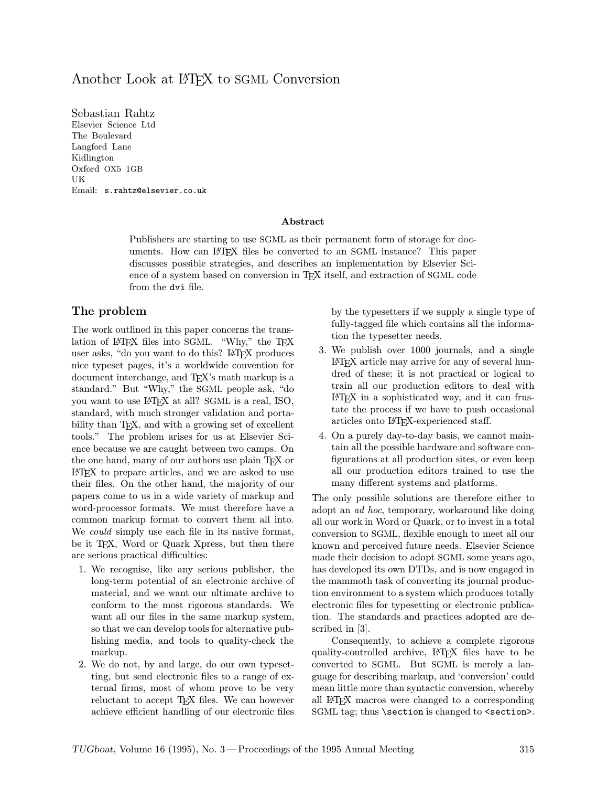# Another Look at LAT<sub>EX</sub> to SGML Conversion

Sebastian Rahtz Elsevier Science Ltd The Boulevard Langford Lane Kidlington Oxford OX5 1GB UK Email: s.rahtz@elsevier.co.uk

#### Abstract

Publishers are starting to use SGML as their permanent form of storage for documents. How can L<sup>A</sup>TEX files be converted to an SGML instance? This paper discusses possible strategies, and describes an implementation by Elsevier Science of a system based on conversion in T<sub>EX</sub> itself, and extraction of SGML code from the dvi file.

# The problem

The work outlined in this paper concerns the translation of L<sup>A</sup>TEX files into SGML. "Why," the TEX user asks, "do you want to do this? LAT<sub>EX</sub> produces nice typeset pages, it's a worldwide convention for document interchange, and TEX's math markup is a standard." But "Why," the SGML people ask, "do you want to use L<sup>A</sup>TEX at all? SGML is a real, ISO, standard, with much stronger validation and portability than T<sub>EX</sub>, and with a growing set of excellent tools." The problem arises for us at Elsevier Science because we are caught between two camps. On the one hand, many of our authors use plain TEX or L<sup>A</sup>TEX to prepare articles, and we are asked to use their files. On the other hand, the majority of our papers come to us in a wide variety of markup and word-processor formats. We must therefore have a common markup format to convert them all into. We *could* simply use each file in its native format, be it TEX, Word or Quark Xpress, but then there are serious practical difficulties:

- 1. We recognise, like any serious publisher, the long-term potential of an electronic archive of material, and we want our ultimate archive to conform to the most rigorous standards. We want all our files in the same markup system, so that we can develop tools for alternative publishing media, and tools to quality-check the markup.
- 2. We do not, by and large, do our own typesetting, but send electronic files to a range of external firms, most of whom prove to be very reluctant to accept T<sub>EX</sub> files. We can however achieve efficient handling of our electronic files

by the typesetters if we supply a single type of fully-tagged file which contains all the information the typesetter needs.

- 3. We publish over 1000 journals, and a single L<sup>A</sup>TEX article may arrive for any of several hundred of these; it is not practical or logical to train all our production editors to deal with L<sup>A</sup>TEX in a sophisticated way, and it can frustate the process if we have to push occasional articles onto L<sup>A</sup>TEX-experienced staff.
- 4. On a purely day-to-day basis, we cannot maintain all the possible hardware and software configurations at all production sites, or even keep all our production editors trained to use the many different systems and platforms.

The only possible solutions are therefore either to adopt an ad hoc, temporary, workaround like doing all our work in Word or Quark, or to invest in a total conversion to SGML, flexible enough to meet all our known and perceived future needs. Elsevier Science made their decision to adopt SGML some years ago, has developed its own DTDs, and is now engaged in the mammoth task of converting its journal production environment to a system which produces totally electronic files for typesetting or electronic publication. The standards and practices adopted are described in [3].

Consequently, to achieve a complete rigorous quality-controlled archive, L<sup>A</sup>TEX files have to be converted to SGML. But SGML is merely a language for describing markup, and 'conversion' could mean little more than syntactic conversion, whereby all L<sup>A</sup>TEX macros were changed to a corresponding SGML tag; thus \section is changed to <section>.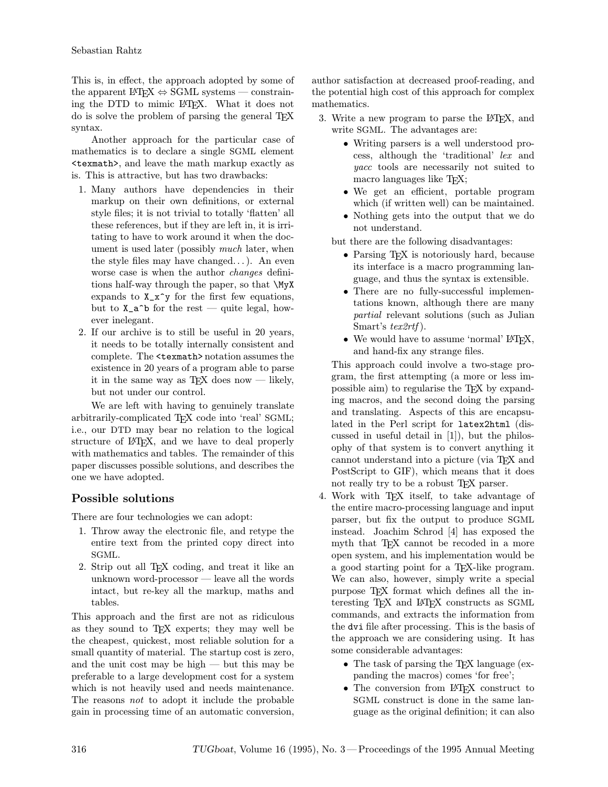This is, in effect, the approach adopted by some of the apparent L<sup>AT</sup>EX  $\Leftrightarrow$  SGML systems — constraining the DTD to mimic L<sup>A</sup>TEX. What it does not do is solve the problem of parsing the general T<sub>EX</sub> syntax.

Another approach for the particular case of mathematics is to declare a single SGML element <texmath>, and leave the math markup exactly as is. This is attractive, but has two drawbacks:

- 1. Many authors have dependencies in their markup on their own definitions, or external style files; it is not trivial to totally 'flatten' all these references, but if they are left in, it is irritating to have to work around it when the document is used later (possibly *much* later, when the style files may have changed. . . ). An even worse case is when the author changes definitions half-way through the paper, so that \MyX expands to  $X_x^y$  for the first few equations, but to  $X_a^b$  for the rest — quite legal, however inelegant.
- 2. If our archive is to still be useful in 20 years, it needs to be totally internally consistent and complete. The <texmath>notation assumes the existence in 20 years of a program able to parse it in the same way as T<sub>E</sub>X does now — likely, but not under our control.

We are left with having to genuinely translate arbitrarily-complicated TEX code into 'real' SGML; i.e., our DTD may bear no relation to the logical structure of  $\mathbb{F}T$ <sub>F</sub>X, and we have to deal properly with mathematics and tables. The remainder of this paper discusses possible solutions, and describes the one we have adopted.

# Possible solutions

There are four technologies we can adopt:

- 1. Throw away the electronic file, and retype the entire text from the printed copy direct into SGML.
- 2. Strip out all TEX coding, and treat it like an unknown word-processor — leave all the words intact, but re-key all the markup, maths and tables.

This approach and the first are not as ridiculous as they sound to TEX experts; they may well be the cheapest, quickest, most reliable solution for a small quantity of material. The startup cost is zero, and the unit cost may be high — but this may be preferable to a large development cost for a system which is not heavily used and needs maintenance. The reasons not to adopt it include the probable gain in processing time of an automatic conversion,

author satisfaction at decreased proof-reading, and the potential high cost of this approach for complex mathematics.

- 3. Write a new program to parse the L<sup>AT</sup>FX, and write SGML. The advantages are:
	- Writing parsers is a well understood process, although the 'traditional' lex and yacc tools are necessarily not suited to macro languages like TEX;
	- We get an efficient, portable program which (if written well) can be maintained.
	- Nothing gets into the output that we do not understand.

but there are the following disadvantages:

- Parsing TFX is notoriously hard, because its interface is a macro programming language, and thus the syntax is extensible.
- There are no fully-successful implementations known, although there are many partial relevant solutions (such as Julian Smart's tex2rtf ).
- We would have to assume 'normal'  $\mathbb{P}\Gamma$ FX, and hand-fix any strange files.

This approach could involve a two-stage program, the first attempting (a more or less impossible aim) to regularise the TEX by expanding macros, and the second doing the parsing and translating. Aspects of this are encapsulated in the Perl script for latex2html (discussed in useful detail in [1]), but the philosophy of that system is to convert anything it cannot understand into a picture (via TEX and PostScript to GIF), which means that it does not really try to be a robust T<sub>E</sub>X parser.

- 4. Work with TEX itself, to take advantage of the entire macro-processing language and input parser, but fix the output to produce SGML instead. Joachim Schrod [4] has exposed the myth that T<sub>F</sub>X cannot be recoded in a more open system, and his implementation would be a good starting point for a T<sub>E</sub>X-like program. We can also, however, simply write a special purpose TEX format which defines all the interesting TEX and L<sup>A</sup>TEX constructs as SGML commands, and extracts the information from the dvi file after processing. This is the basis of the approach we are considering using. It has some considerable advantages:
	- The task of parsing the TFX language (expanding the macros) comes 'for free';
	- The conversion from IATEX construct to SGML construct is done in the same language as the original definition; it can also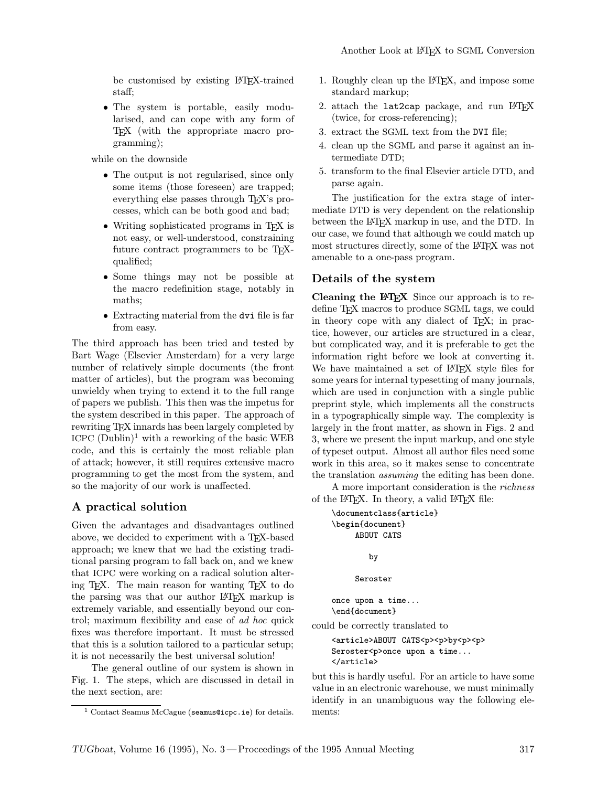be customised by existing L<sup>A</sup>TEX-trained staff;

• The system is portable, easily modularised, and can cope with any form of TEX (with the appropriate macro programming);

while on the downside

- The output is not regularised, since only some items (those foreseen) are trapped; everything else passes through T<sub>EX</sub>'s processes, which can be both good and bad;
- Writing sophisticated programs in T<sub>EX</sub> is not easy, or well-understood, constraining future contract programmers to be TEXqualified;
- Some things may not be possible at the macro redefinition stage, notably in maths;
- Extracting material from the dvi file is far from easy.

The third approach has been tried and tested by Bart Wage (Elsevier Amsterdam) for a very large number of relatively simple documents (the front matter of articles), but the program was becoming unwieldy when trying to extend it to the full range of papers we publish. This then was the impetus for the system described in this paper. The approach of rewriting TEX innards has been largely completed by ICPC  $(Dublin)^1$  with a reworking of the basic WEB code, and this is certainly the most reliable plan of attack; however, it still requires extensive macro programming to get the most from the system, and so the majority of our work is unaffected.

# A practical solution

Given the advantages and disadvantages outlined above, we decided to experiment with a TEX-based approach; we knew that we had the existing traditional parsing program to fall back on, and we knew that ICPC were working on a radical solution altering T<sub>E</sub>X. The main reason for wanting T<sub>E</sub>X to do the parsing was that our author L<sup>A</sup>TEX markup is extremely variable, and essentially beyond our control; maximum flexibility and ease of ad hoc quick fixes was therefore important. It must be stressed that this is a solution tailored to a particular setup; it is not necessarily the best universal solution!

The general outline of our system is shown in Fig. 1. The steps, which are discussed in detail in the next section, are:

- 1. Roughly clean up the L<sup>A</sup>TEX, and impose some standard markup;
- 2. attach the lat2cap package, and run LATFX (twice, for cross-referencing);
- 3. extract the SGML text from the DVI file;
- 4. clean up the SGML and parse it against an intermediate DTD;
- 5. transform to the final Elsevier article DTD, and parse again.

The justification for the extra stage of intermediate DTD is very dependent on the relationship between the LAT<sub>EX</sub> markup in use, and the DTD. In our case, we found that although we could match up most structures directly, some of the L<sup>A</sup>TEX was not amenable to a one-pass program.

### Details of the system

Cleaning the L<sup>AT</sup>EX Since our approach is to redefine T<sub>EX</sub> macros to produce SGML tags, we could in theory cope with any dialect of TEX; in practice, however, our articles are structured in a clear, but complicated way, and it is preferable to get the information right before we look at converting it. We have maintained a set of LAT<sub>EX</sub> style files for some years for internal typesetting of many journals, which are used in conjunction with a single public preprint style, which implements all the constructs in a typographically simple way. The complexity is largely in the front matter, as shown in Figs. 2 and 3, where we present the input markup, and one style of typeset output. Almost all author files need some work in this area, so it makes sense to concentrate the translation assuming the editing has been done.

A more important consideration is the richness of the L<sup>A</sup>TEX. In theory, a valid L<sup>A</sup>TEX file:

```
\documentclass{article}
    \begin{document}
         ABOUT CATS
            by
         Seroster
    once upon a time...
    \end{document}
could be correctly translated to
    <article>ABOUT CATS<p><p>by<p><p>
    Seroster<p>once upon a time...
    </article>
```
but this is hardly useful. For an article to have some value in an electronic warehouse, we must minimally identify in an unambiguous way the following elements:

<sup>1</sup> Contact Seamus McCague (seamus@icpc.ie) for details.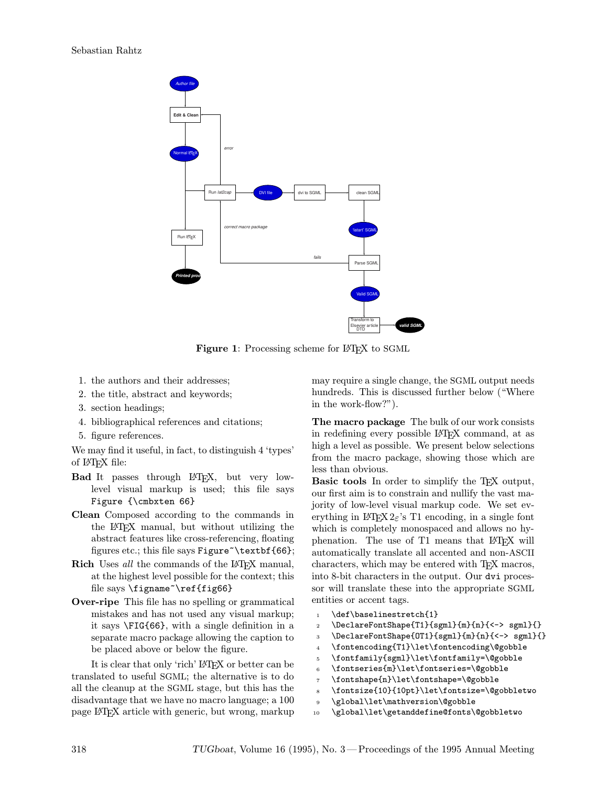

Figure 1: Processing scheme for LATEX to SGML

- 1. the authors and their addresses;
- 2. the title, abstract and keywords;
- 3. section headings;
- 4. bibliographical references and citations;
- 5. figure references.

We may find it useful, in fact, to distinguish 4 'types' of L<sup>A</sup>TEX file:

- Bad It passes through L<sup>A</sup>TEX, but very lowlevel visual markup is used; this file says Figure {\cmbxten 66}
- Clean Composed according to the commands in the L<sup>A</sup>TEX manual, but without utilizing the abstract features like cross-referencing, floating figures etc.; this file says  $Figure$  \textbf{66};
- Rich Uses all the commands of the L<sup>AT</sup>EX manual, at the highest level possible for the context; this file says \figname~\ref{fig66}
- Over-ripe This file has no spelling or grammatical mistakes and has not used any visual markup; it says \FIG{66}, with a single definition in a separate macro package allowing the caption to be placed above or below the figure.

It is clear that only 'rich' L<sup>A</sup>TEX or better can be translated to useful SGML; the alternative is to do all the cleanup at the SGML stage, but this has the disadvantage that we have no macro language; a 100 page L<sup>A</sup>TEX article with generic, but wrong, markup may require a single change, the SGML output needs hundreds. This is discussed further below ("Where in the work-flow?").

The macro package The bulk of our work consists in redefining every possible L<sup>A</sup>TEX command, at as high a level as possible. We present below selections from the macro package, showing those which are less than obvious.

Basic tools In order to simplify the TEX output, our first aim is to constrain and nullify the vast majority of low-level visual markup code. We set everything in  $L^2E^X 2_\varepsilon$ 's T1 encoding, in a single font which is completely monospaced and allows no hyphenation. The use of T1 means that IATFX will automatically translate all accented and non-ASCII characters, which may be entered with TEX macros, into 8-bit characters in the output. Our dvi processor will translate these into the appropriate SGML entities or accent tags.

- 1 \def\baselinestretch{1}
- <sup>2</sup> \DeclareFontShape{T1}{sgml}{m}{n}{<-> sgml}{}
- <sup>3</sup> \DeclareFontShape{OT1}{sgml}{m}{n}{<-> sgml}{}
- <sup>4</sup> \fontencoding{T1}\let\fontencoding\@gobble
- <sup>5</sup> \fontfamily{sgml}\let\fontfamily=\@gobble
- <sup>6</sup> \fontseries{m}\let\fontseries=\@gobble
- <sup>7</sup> \fontshape{n}\let\fontshape=\@gobble
- <sup>8</sup> \fontsize{10}{10pt}\let\fontsize=\@gobbletwo
- <sup>9</sup> \global\let\mathversion\@gobble
- <sup>10</sup> \global\let\getanddefine@fonts\@gobbletwo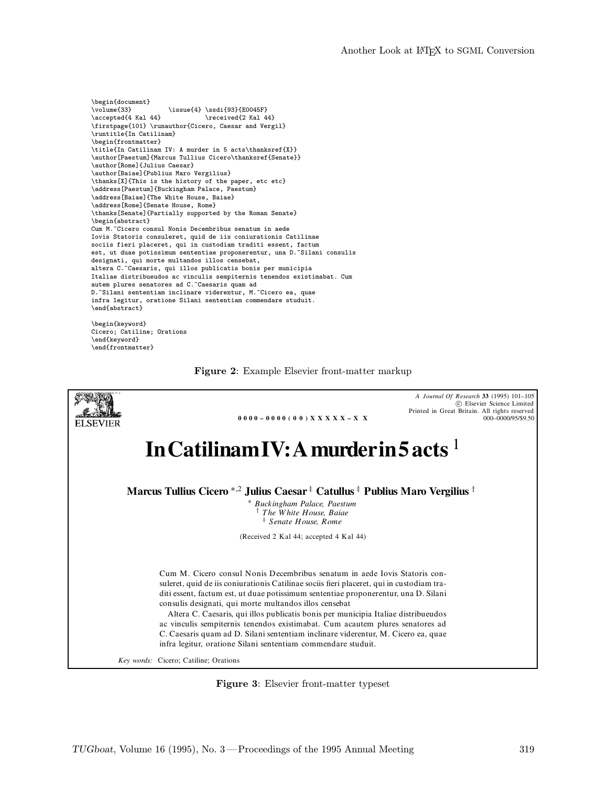```
\begin{document}<br>\volume{33}
\volume{33} \issue{4} \ssdi{93}{E0045F}<br>\accepted{4 Kal 44} \received{2 Kal 4
                                   \text{2 Kal } 44\firstpage{101} \runauthor{Cicero, Caesar and Vergil}
\runtitle{In Catilinam}
\begin{frontmatter}
\title{In Catilinam IV: A murder in 5 acts\thanksref{X}}
\author[Paestum]{Marcus Tullius Cicero\thanksref{Senate}}
\author[Rome]{Julius Caesar}
\author[Baiae]{Publius Maro Vergilius}
\thanks[X]{This is the history of the paper, etc etc}
\address[Paestum]{Buckingham Palace, Paestum}
\address[Baiae]{The White House, Baiae}
\address[Rome]{Senate House, Rome}
\thanks[Senate]{Partially supported by the Roman Senate}
\begin{abstract}
Cum M.~Cicero consul Nonis Decembribus senatum in aede
Iovis Statoris consuleret, quid de iis coniurationis Catilinae
sociis fieri placeret, qui in custodiam traditi essent, factum
est, ut duae potissimum sententiae proponerentur, una D.~Silani consulis
designati, qui morte multandos illos censebat,
altera C.~Caesaris, qui illos publicatis bonis per municipia
Italiae distribueudos ac vinculis sempiternis tenendos existimabat. Cum
autem plures senatores ad C.~Caesaris quam ad
D. "Silani sententiam inclinare viderentur, M. "Cicero ea, quae
infra legitur, oratione Silani sententiam commendare studuit.
\end{abstract}
\begin{keyword}
Cicero; Catiline; Orations
```
\end{keyword} \end{frontmatter}





Figure 3: Elsevier front-matter typeset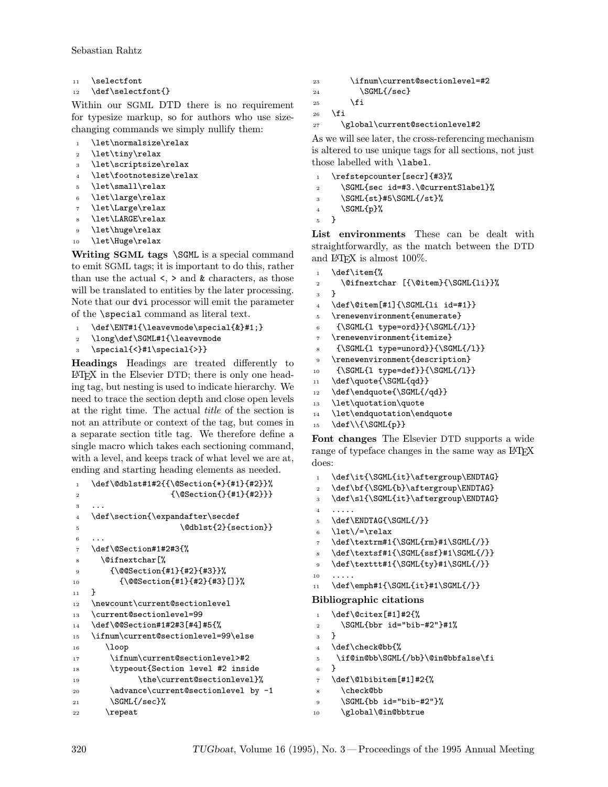- 11 \selectfont
- 12 \def\selectfont{}

Within our SGML DTD there is no requirement for typesize markup, so for authors who use sizechanging commands we simply nullify them:

- 1 \let\normalsize\relax
- <sup>2</sup> \let\tiny\relax
- <sup>3</sup> \let\scriptsize\relax
- \let\footnotesize\relax
- 5 \let\small\relax
- <sup>6</sup> \let\large\relax
- \let\Large\relax
- \let\LARGE\relax
- \let\huge\relax
- 10 \let\Huge\relax

Writing SGML tags \SGML is a special command to emit SGML tags; it is important to do this, rather than use the actual  $\lt$ ,  $>$  and  $\&$  characters, as those will be translated to entities by the later processing. Note that our dvi processor will emit the parameter of the \special command as literal text.

- 1 \def\ENT#1{\leavevmode\special{&}#1;}
- <sup>2</sup> \long\def\SGML#1{\leavevmode
- \special{<}#1\special{>}}

Headings Headings are treated differently to L<sup>A</sup>TEX in the Elsevier DTD; there is only one heading tag, but nesting is used to indicate hierarchy. We need to trace the section depth and close open levels at the right time. The actual title of the section is not an attribute or context of the tag, but comes in a separate section title tag. We therefore define a single macro which takes each sectioning command, with a level, and keeps track of what level we are at, ending and starting heading elements as needed.

```
1 \def\@dblst#1#2{{\@Section{*}{#1}{#2}}%
2 {\QSection} {\#1}{{#1}{#2}}}
3 ...
4 \def\section{\expandafter\secdef
5 \\ldblst{2}{section}}
6 \cdot \cdot \cdot7 \def\@Section#1#2#3{%
8 \@ifnextchar[%
9 {\@@Section{#1}{#2}{#3}}%
10 {\@@Section{#1}{#2}{#3}[]}%
11 }
12 \newcount\current@sectionlevel
13 \current@sectionlevel=99
14 \def\@@Section#1#2#3[#4]#5{%
15 \ifnum\current@sectionlevel=99\else
16 \loop
17 \ifnum\current@sectionlevel>#2
18 \typeout{Section level #2 inside
19 \the\current@sectionlevel}%
20 \advance\current@sectionlevel by -1
21 \SGML{/sec}%
22 \repeat
```

```
23 \ifnum\current@sectionlevel=#2
```

```
24 \SGML{/sec}
```

```
25 \overline{\phantom{a}} \fi
```

```
26 \fi
```
<sup>27</sup> \global\current@sectionlevel#2

As we will see later, the cross-referencing mechanism is altered to use unique tags for all sections, not just those labelled with \label.

- 1 \refstepcounter[secr]{#3}%
- <sup>2</sup> \SGML{sec id=#3.\@currentSlabel}%
- <sup>3</sup> \SGML{st}#5\SGML{/st}%
- $4$  \SGML{p}%
- <sup>5</sup> }

List environments These can be dealt with straightforwardly, as the match between the DTD and IAT<sub>F</sub>X is almost 100\%.

```
\def\item{%
2 \@ifnextchar [{\@item}{\SGML{li}}%
3 }
4 \def\@item[#1]{\SGML{li id=#1}}
5 \renewenvironment{enumerate}
6 \qquad {\SGML{1 type=ord}}{\SGML{/1}}\renewenvironment{itemize}
8 {\SGML{l type=unord}}{\SGML{/l}}
9 \renewenvironment{description}
```
- 10 {\SGML{1 type=def}}{\SGML{/1}}
- 11 \def\quote{\SGML{qd}}
- 12 \def\endquote{\SGML{/qd}}
- 13 \let\quotation\quote
- <sup>14</sup> \let\endquotation\endquote

```
15 \def\\{\SGML{p}}
```
Font changes The Elsevier DTD supports a wide range of typeface changes in the same way as LAT<sub>EX</sub> does:

```
1 \def\it{\SGML{it}\aftergroup\ENDTAG}
2 \def\bf{\SGML{b}\aftergroup\ENDTAG}
3 \def\sl{\SGML{it}\aftergroup\ENDTAG}
4 .....
5 \def\ENDTAG{\SGML{/}}
6 \let\/=\relax
7 \def\textrm#1{\SGML{rm}#1\SGML{/}}
8 \def\textsf#1{\SGML{ssf}#1\SGML{/}}
9 \def\texttt#1{\SGML{ty}#1\SGML{/}}
10 .....
11 \def\emph#1{\SGML{it}#1\SGML{/}}
Bibliographic citations
1 \def\@citex[#1]#2{%
2 \SGML{bbr id="bib-#2"}#1%
3 }
4 \def\check@bb{%
5 \if@in@bb\SGML{/bb}\@in@bbfalse\fi
6 }
7 \def\@lbibitem[#1]#2{%
8 \check@bb
9 \SGML{bb id="bib-#2"}%
10 \global\@in@bbtrue
```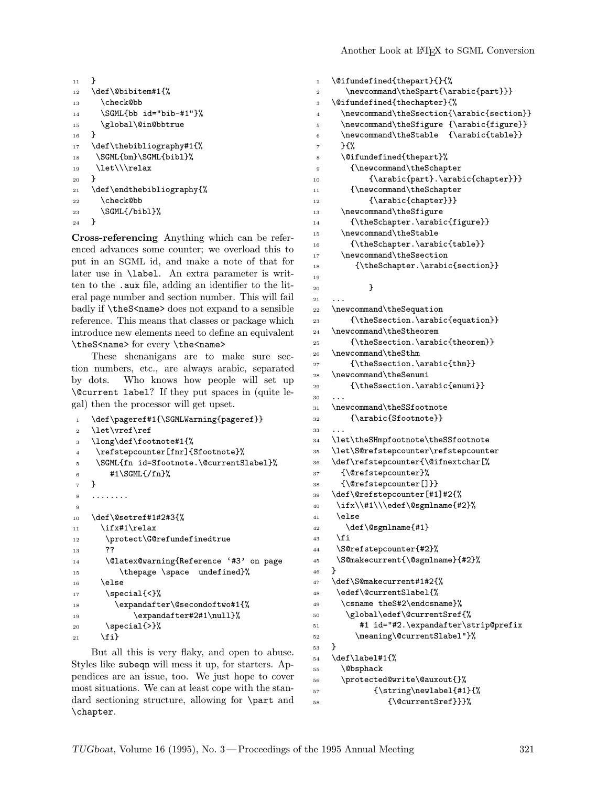```
11 }
12 \def\@bibitem#1{%
13 \check@bb
14 \SGML{bb id="bib-#1"}%
15 \global\@in@bbtrue
16 }
17 \def\thebibliography#1{%
18 \SGML{bm}\SGML{bibl}%
19 \let\\\relax
20 }
21 \def\endthebibliography{%
22 \check@bb
23 \SGML{/bibl}%
24 }
```
Cross-referencing Anything which can be referenced advances some counter; we overload this to put in an SGML id, and make a note of that for later use in \label. An extra parameter is written to the .aux file, adding an identifier to the literal page number and section number. This will fail badly if \theS<name> does not expand to a sensible reference. This means that classes or package which introduce new elements need to define an equivalent \theS<name> for every \the<name>

These shenanigans are to make sure section numbers, etc., are always arabic, separated by dots. Who knows how people will set up \@current label? If they put spaces in (quite legal) then the processor will get upset.

```
1 \def\pageref#1{\SGMLWarning{pageref}}
2 \let\vref\ref
3 \long\def\footnote#1{%
4 \refstepcounter[fnr]{Sfootnote}%
5 \SGML{fn id=Sfootnote.\@currentSlabel}%
6 #1\SGML{/fn}%
7 }
    8 ........
9
10 \def\@setref#1#2#3{%
11 \ifx#1\relax
12 \protect\G@refundefinedtrue
13 ??
14 \@latex@warning{Reference '#3' on page
15 \thepage \space undefined}%
16 \else
17 \qquad \text{Special} \{ \langle \cdot \rangle \}18 \expandafter\@secondoftwo#1{%
19 \expandafter#2#1\null}%
20 \qquad \text{special} \{\text{>}\}21 \fi}
```
But all this is very flaky, and open to abuse. Styles like subeqn will mess it up, for starters. Appendices are an issue, too. We just hope to cover most situations. We can at least cope with the standard sectioning structure, allowing for \part and \chapter.

```
1 \@ifundefined{thepart}{}{%
2 \newcommand\theSpart{\arabic{part}}}
3 \@ifundefined{thechapter}{%
4 \newcommand\theSsection{\arabic{section}}
5 \newcommand\theSfigure {\arabic{figure}}
6 \newcommand\theStable {\arabic{table}}7 }\{%
8 \@ifundefined{thepart}%
9 {\newcommand\theSchapter
10 {\arabic{part}.\arabic{chapter}}}
11 {\newcommand\theSchapter
12 {\arabic{chapter}}}
13 \newcommand\theSfigure
14 {\theSchapter.\arabic{figure}}
15 \newcommand\theStable
16 {\theSchapter.\arabic{table}}
17 \newcommand\theSsection
18 {\theSchapter.\arabic{section}}
19
20 }
21 \quad . \quad . \quad .22 \newcommand\theSequation
23 {\theSsection.\arabic{equation}}
24 \newcommand\theStheorem
25 {\theSsection.\arabic{theorem}}
26 \newcommand\theSthm
27 {\theSsection.\arabic{thm}}
28 \newcommand\theSenumi
29 {\theSsection.\arabic{enumi}}
30^{\circ}31 \newcommand\theSSfootnote
32 {\arabic{Sfootnote}}
33 ...
34 \let\theSHmpfootnote\theSSfootnote
35 \let\S@refstepcounter\refstepcounter
36 \def\refstepcounter{\@ifnextchar[%
37 {\@refstepcounter}%
38 {\@refstepcounter[]}}
39 \def\@refstepcounter[#1]#2{%
40 \ifx\\#1\\\edef\@sgmlname{#2}%
41 \else
42 \def\@sgmlname{#1}
43 \fi
44 \S@refstepcounter{#2}%
45 \S@makecurrent{\@sgmlname}{#2}%
46 }
47 \def\S@makecurrent#1#2{%
48 \edef\@currentSlabel{%
49 \csname theS#2\endcsname}%
50 \global\edef\@currentSref{%
51 #1 id="#2.\expandafter\strip@prefix
52 \meaning\@currentSlabel"}%
53 }
54 \def\label#1{%
55 \@bsphack
56 \protected@write\@auxout{}%
57 {\string\newlabel{#1}{%
58 {\@currentSref}}}%
```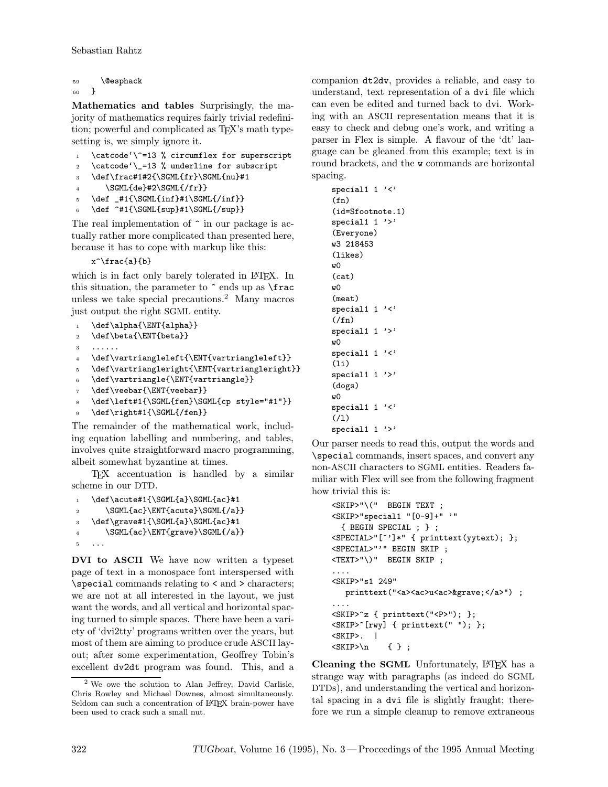```
59 \@esphack
```

```
60 }
```
Mathematics and tables Surprisingly, the majority of mathematics requires fairly trivial redefinition; powerful and complicated as T<sub>E</sub>X's math typesetting is, we simply ignore it.

```
1 \catcode'\^=13 % circumflex for superscript
```

```
2 \catcode'\_=13 % underline for subscript
```
<sup>3</sup> \def\frac#1#2{\SGML{fr}\SGML{nu}#1

```
\SGML{de}#2\SGML{/fr}
```

```
5 \text{def } +1\SGML\{inf\}+1\SGML\{int\}
```

```
6 \def ^*#1{\SGML{sup}#1\SGML{/sup}}
```
The real implementation of  $\hat{\ }$  in our package is actually rather more complicated than presented here, because it has to cope with markup like this:

x^\frac{a}{b}

which is in fact only barely tolerated in LAT<sub>EX</sub>. In this situation, the parameter to  $\hat{\ }$  ends up as  $\frac{\frac{1}{\sqrt{1 - x^2}}}{\frac{1}{\sqrt{1 - x^2}}}$ unless we take special precautions.<sup>2</sup> Many macros just output the right SGML entity.

```
1 \def\alpha{\ENT{alpha}}
2 \def\beta{\ENT{beta}}
3 ......
4 \def\vartriangleleft{\ENT{vartriangleleft}}
5 \def\vartriangleright{\ENT{vartriangleright}}
   \def\vartriangle{\ENT{vartriangle}}
   \def\veebar{\ENT{veebar}}
   \def\left#1{\SGML{fen}\SGML{cp style="#1"}}
9 \def\right#1{\SGML{/fen}}
```
The remainder of the mathematical work, including equation labelling and numbering, and tables, involves quite straightforward macro programming, albeit somewhat byzantine at times.

TEX accentuation is handled by a similar scheme in our DTD.

```
1 \def\acute#1{\SGML{a}\SGML{ac}#1
2 \SGML{ac}\ENT{acute}\SGML{/a}}
3 \def\grave#1{\SGML{a}\SGML{ac}#1
4 \SGML{ac}\ENT{grave}\SGML{/a}}
5 ...
```
DVI to ASCII We have now written a typeset page of text in a monospace font interspersed with \special commands relating to < and > characters; we are not at all interested in the layout, we just want the words, and all vertical and horizontal spacing turned to simple spaces. There have been a variety of 'dvi2tty' programs written over the years, but most of them are aiming to produce crude ASCII layout; after some experimentation, Geoffrey Tobin's excellent dv2dt program was found. This, and a companion dt2dv, provides a reliable, and easy to understand, text representation of a dvi file which can even be edited and turned back to dvi. Working with an ASCII representation means that it is easy to check and debug one's work, and writing a parser in Flex is simple. A flavour of the 'dt' language can be gleaned from this example; text is in round brackets, and the w commands are horizontal spacing.

| $special1$ '<'<br>$(\texttt{fn})$ |
|-----------------------------------|
| $(id = Stootnote. 1)$             |
| special1 $1$ '>'                  |
| (Everyone)                        |
| w3 218453                         |
| (likes)                           |
| wΟ                                |
| (cat)                             |
| w <sub>0</sub>                    |
| (meat)                            |
| $special1$ '<'                    |
| (1)                               |
| special1 $1$ '>'                  |
| wΟ                                |
| $special1$ '<'                    |
| (1i)                              |
| special1 $1$ '>'                  |
| (dogs)                            |
| wΩ                                |
| $special1$ '<'                    |
| (1)                               |
| $special1$ '>'                    |

Our parser needs to read this, output the words and \special commands, insert spaces, and convert any non-ASCII characters to SGML entities. Readers familiar with Flex will see from the following fragment how trivial this is:

```
<SKIP>"\(" BEGIN TEXT ;
<SKIP>"special1 "[0-9]+" '"
 { BEGIN SPECIAL ; } ;
<SPECIAL>"[^']*" { printtext(yytext); };
<SPECIAL>"'" BEGIN SKIP ;
<TEXT>"\)" BEGIN SKIP ;
....
<SKIP>"s1 249"
  printtext("<a><ac>u<ac>&grave;</a>") ;
....
<SKIP>^z { printtext("<P>"); };
<SKIP>^[rwy] { printtext(" "); };
<SKIP>. |
\langleSKIP>\n { } ;
```
Cleaning the SGML Unfortunately, LATEX has a strange way with paragraphs (as indeed do SGML DTDs), and understanding the vertical and horizontal spacing in a dvi file is slightly fraught; therefore we run a simple cleanup to remove extraneous

<sup>2</sup> We owe the solution to Alan Jeffrey, David Carlisle, Chris Rowley and Michael Downes, almost simultaneously. Seldom can such a concentration of LATEX brain-power have been used to crack such a small nut.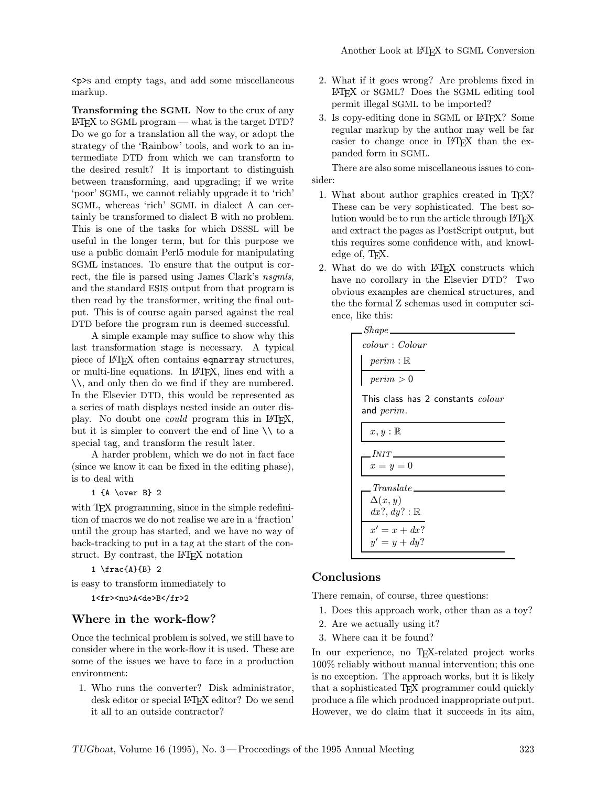<p>s and empty tags, and add some miscellaneous markup.

Transforming the SGML Now to the crux of any  $\Delta E$ FX to SGML program — what is the target DTD? Do we go for a translation all the way, or adopt the strategy of the 'Rainbow' tools, and work to an intermediate DTD from which we can transform to the desired result? It is important to distinguish between transforming, and upgrading; if we write 'poor' SGML, we cannot reliably upgrade it to 'rich' SGML, whereas 'rich' SGML in dialect A can certainly be transformed to dialect B with no problem. This is one of the tasks for which DSSSL will be useful in the longer term, but for this purpose we use a public domain Perl5 module for manipulating SGML instances. To ensure that the output is correct, the file is parsed using James Clark's nsgmls, and the standard ESIS output from that program is then read by the transformer, writing the final output. This is of course again parsed against the real DTD before the program run is deemed successful.

A simple example may suffice to show why this last transformation stage is necessary. A typical piece of LAT<sub>E</sub>X often contains eqnarray structures, or multi-line equations. In L<sup>A</sup>TEX, lines end with a \\, and only then do we find if they are numbered. In the Elsevier DTD, this would be represented as a series of math displays nested inside an outer display. No doubt one *could* program this in IAT<sub>EX</sub>, but it is simpler to convert the end of line  $\setminus \setminus$  to a special tag, and transform the result later.

A harder problem, which we do not in fact face (since we know it can be fixed in the editing phase), is to deal with

1 {A \over B} 2

with T<sub>E</sub>X programming, since in the simple redefinition of macros we do not realise we are in a 'fraction' until the group has started, and we have no way of back-tracking to put in a tag at the start of the construct. By contrast, the LAT<sub>EX</sub> notation

```
1 \frac{A}{B} 2
```
is easy to transform immediately to

1<fr><nu>A<de>B</fr>2

### Where in the work-flow?

Once the technical problem is solved, we still have to consider where in the work-flow it is used. These are some of the issues we have to face in a production environment:

1. Who runs the converter? Disk administrator, desk editor or special LAT<sub>F</sub>X editor? Do we send it all to an outside contractor?

- 2. What if it goes wrong? Are problems fixed in L<sup>A</sup>TEX or SGML? Does the SGML editing tool permit illegal SGML to be imported?
- 3. Is copy-editing done in SGML or L<sup>A</sup>TEX? Some regular markup by the author may well be far easier to change once in LAT<sub>EX</sub> than the expanded form in SGML.

There are also some miscellaneous issues to consider:

- 1. What about author graphics created in TEX? These can be very sophisticated. The best solution would be to run the article through L<sup>A</sup>TEX and extract the pages as PostScript output, but this requires some confidence with, and knowledge of, TFX.
- 2. What do we do with LATEX constructs which have no corollary in the Elsevier DTD? Two obvious examples are chemical structures, and the the formal Z schemas used in computer science, like this:

| Shape                                                  |
|--------------------------------------------------------|
| colour: Color                                          |
| $perim : \mathbb{R}$                                   |
| $\text{perim} > 0$                                     |
| This class has 2 constants <i>colour</i><br>and perim. |
| $x, y : \mathbb{R}$                                    |
| $INT$ <sub>_____</sub>                                 |
| $x=y=0$                                                |
| $Translate \_\_$                                       |
| $\Delta(x, y)$                                         |
| $dx$ ?, $dy$ ?: $\mathbb R$                            |
| $x' = x + dx?$                                         |
| $y' = y + dy?$                                         |

### Conclusions

There remain, of course, three questions:

- 1. Does this approach work, other than as a toy?
- 2. Are we actually using it?
- 3. Where can it be found?

In our experience, no TEX-related project works 100% reliably without manual intervention; this one is no exception. The approach works, but it is likely that a sophisticated TEX programmer could quickly produce a file which produced inappropriate output. However, we do claim that it succeeds in its aim,